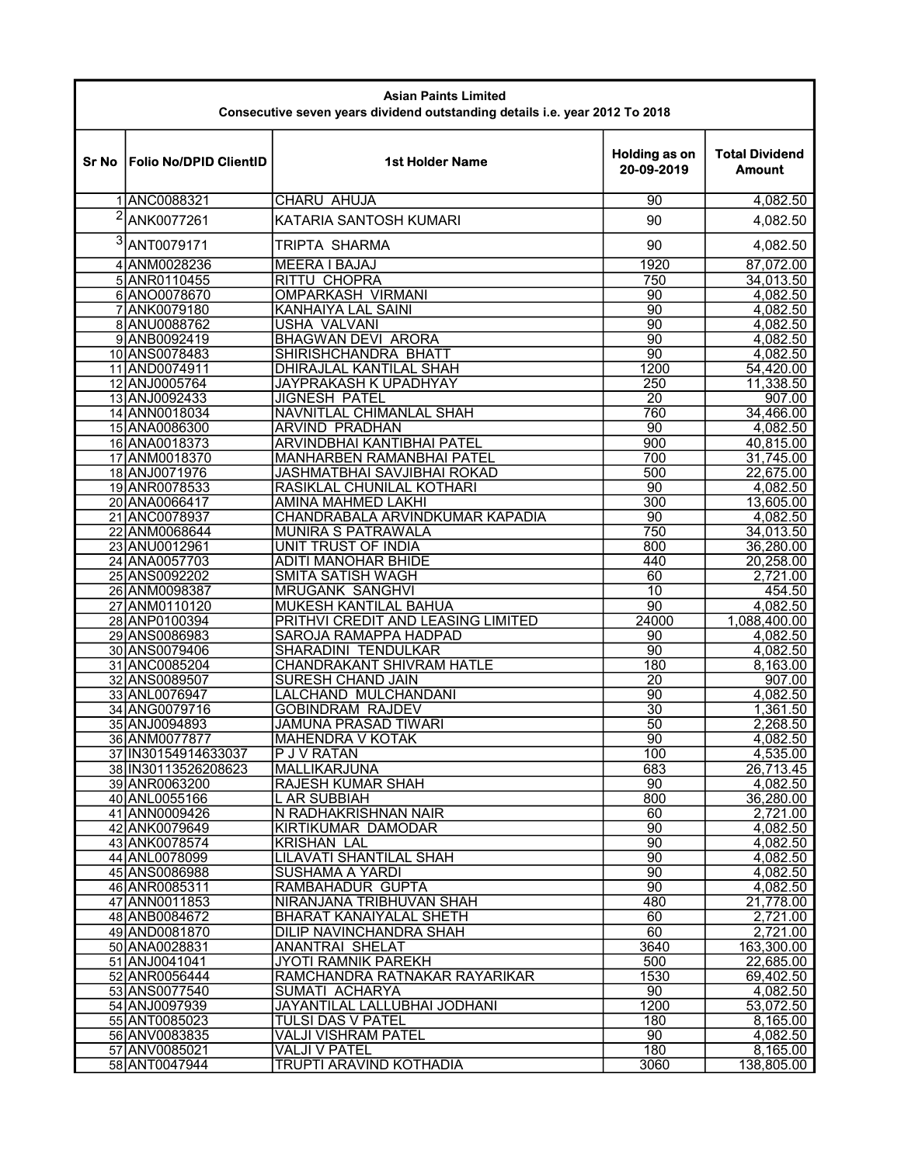| <b>Asian Paints Limited</b><br>Consecutive seven years dividend outstanding details i.e. year 2012 To 2018 |                                |                                                            |                                    |                                        |  |  |
|------------------------------------------------------------------------------------------------------------|--------------------------------|------------------------------------------------------------|------------------------------------|----------------------------------------|--|--|
| Sr No                                                                                                      | <b>Folio No/DPID ClientID</b>  | <b>1st Holder Name</b>                                     | <b>Holding as on</b><br>20-09-2019 | <b>Total Dividend</b><br><b>Amount</b> |  |  |
|                                                                                                            | 1ANC0088321                    | <b>CHARU AHUJA</b>                                         | 90                                 | 4,082.50                               |  |  |
| $\overline{2}$                                                                                             | ANK0077261                     | KATARIA SANTOSH KUMARI                                     | 90                                 | 4,082.50                               |  |  |
| 3                                                                                                          | ANT0079171                     | TRIPTA SHARMA                                              | 90                                 | 4,082.50                               |  |  |
|                                                                                                            | 4 ANM0028236                   | <b>MEERA I BAJAJ</b>                                       | 1920                               | 87,072.00                              |  |  |
|                                                                                                            | 5 ANR0110455                   | <b>RITTU CHOPRA</b>                                        | 750                                | 34,013.50                              |  |  |
|                                                                                                            | 6 ANO0078670                   | <b>OMPARKASH VIRMANI</b>                                   | 90                                 | 4,082.50                               |  |  |
|                                                                                                            | 7 ANK0079180                   | KANHAIYA LAL SAINI                                         | 90                                 | 4,082.50                               |  |  |
|                                                                                                            | 8 ANU0088762                   | USHA VALVANI                                               | 90<br>90                           | 4,082.50                               |  |  |
|                                                                                                            | 9ANB0092419<br>10 ANS0078483   | <b>BHAGWAN DEVI ARORA</b><br>SHIRISHCHANDRA BHATT          | 90                                 | 4,082.50<br>4,082.50                   |  |  |
|                                                                                                            | 11 AND0074911                  | <b>DHIRAJLAL KANTILAL SHAH</b>                             | 1200                               | 54,420.00                              |  |  |
|                                                                                                            | 12 ANJ0005764                  | <b>JAYPRAKASH K UPADHYAY</b>                               | 250                                | 11,338.50                              |  |  |
|                                                                                                            | 13 ANJ0092433                  | <b>JIGNESH PATEL</b>                                       | 20                                 | 907.00                                 |  |  |
|                                                                                                            | 14 ANN0018034                  | <b>NAVNITLAL CHIMANLAL SHAH</b>                            | 760                                | 34,466.00                              |  |  |
|                                                                                                            | 15 ANA0086300<br>16 ANA0018373 | <b>ARVIND PRADHAN</b><br><b>ARVINDBHAI KANTIBHAI PATEL</b> | 90<br>900                          | 4,082.50<br>40,815.00                  |  |  |
|                                                                                                            | 17 ANM0018370                  | <b>MANHARBEN RAMANBHAI PATEL</b>                           | 700                                | 31,745.00                              |  |  |
|                                                                                                            | 18 ANJ0071976                  | JASHMATBHAI SAVJIBHAI ROKAD                                | 500                                | 22,675.00                              |  |  |
|                                                                                                            | 19 ANR0078533                  | RASIKLAL CHUNILAL KOTHARI                                  | 90                                 | 4,082.50                               |  |  |
|                                                                                                            | 20 ANA0066417                  | AMINA MAHMED LAKHI                                         | 300                                | 13,605.00                              |  |  |
|                                                                                                            | 21 ANC0078937                  | CHANDRABALA ARVINDKUMAR KAPADIA                            | 90                                 | 4,082.50                               |  |  |
|                                                                                                            | 22 ANM0068644<br>23 ANU0012961 | <b>MUNIRA S PATRAWALA</b><br><b>UNIT TRUST OF INDIA</b>    | 750<br>800                         | 34,013.50<br>36,280.00                 |  |  |
|                                                                                                            | 24 ANA0057703                  | <b>ADITI MANOHAR BHIDE</b>                                 | 440                                | 20,258.00                              |  |  |
|                                                                                                            | 25 ANS0092202                  | <b>SMITA SATISH WAGH</b>                                   | 60                                 | 2,721.00                               |  |  |
|                                                                                                            | 26 ANM0098387                  | <b>MRUGANK SANGHVI</b>                                     | 10                                 | 454.50                                 |  |  |
|                                                                                                            | 27 ANM0110120                  | <b>MUKESH KANTILAL BAHUA</b>                               | 90                                 | 4,082.50                               |  |  |
|                                                                                                            | 28 ANP0100394                  | PRITHVI CREDIT AND LEASING LIMITED                         | 24000                              | 1,088,400.00                           |  |  |
|                                                                                                            | 29 ANS0086983<br>30 ANS0079406 | <b>SAROJA RAMAPPA HADPAD</b><br><b>SHARADINI TENDULKAR</b> | 90<br>$\overline{90}$              | 4,082.50<br>4,082.50                   |  |  |
|                                                                                                            | 31 ANC0085204                  | CHANDRAKANT SHIVRAM HATLE                                  | 180                                | 8,163.00                               |  |  |
|                                                                                                            | 32 ANS0089507                  | <b>SURESH CHAND JAIN</b>                                   | 20                                 | 907.00                                 |  |  |
|                                                                                                            | 33 ANL0076947                  | LALCHAND MULCHANDANI                                       | 90                                 | 4,082.50                               |  |  |
|                                                                                                            | 34 ANG0079716                  | <b>GOBINDRAM RAJDEV</b>                                    | $\overline{30}$                    | 1,361.50                               |  |  |
|                                                                                                            | 35 ANJ0094893<br>36 ANM0077877 | <b>JAMUNA PRASAD TIWARI</b><br><b>MAHENDRA V KOTAK</b>     | 50<br>90                           | 2,268.50<br>4.082.50                   |  |  |
|                                                                                                            | 37 IN30154914633037            | <b>P J V RATAN</b>                                         | 100                                | 4,535.00                               |  |  |
|                                                                                                            | 38 IN 30113526208623           | MALLIKARJUNA                                               | 683                                | 26,713.45                              |  |  |
|                                                                                                            | 39 ANR0063200                  | <b>RAJESH KUMAR SHAH</b>                                   | 90                                 | 4,082.50                               |  |  |
|                                                                                                            | 40 ANL0055166                  | <b>LAR SUBBIAH</b>                                         | 800                                | 36,280.00                              |  |  |
|                                                                                                            | 41 ANN0009426<br>42 ANK0079649 | N RADHAKRISHNAN NAIR                                       | 60                                 | 2,721.00                               |  |  |
|                                                                                                            | 43 ANK0078574                  | <b>KIRTIKUMAR DAMODAR</b><br><b>KRISHAN LAL</b>            | 90<br>90                           | 4,082.50<br>4,082.50                   |  |  |
|                                                                                                            | 44 ANL0078099                  | <b>LILAVATI SHANTILAL SHAH</b>                             | 90                                 | 4,082.50                               |  |  |
|                                                                                                            | 45 ANS0086988                  | <b>SUSHAMA A YARDI</b>                                     | $\overline{90}$                    | 4,082.50                               |  |  |
|                                                                                                            | 46 ANR0085311                  | <b>RAMBAHADUR GUPTA</b>                                    | $\overline{90}$                    | 4,082.50                               |  |  |
|                                                                                                            | 47 ANN0011853                  | NIRANJANA TRIBHUVAN SHAH                                   | 480                                | 21,778.00                              |  |  |
|                                                                                                            | 48 ANB0084672                  | BHARAT KANAIYALAL SHETH                                    | 60                                 | 2,721.00                               |  |  |
|                                                                                                            | 49 AND0081870<br>50 ANA0028831 | DILIP NAVINCHANDRA SHAH<br><b>ANANTRAI SHELAT</b>          | 60<br>3640                         | 2,721.00<br>163,300.00                 |  |  |
|                                                                                                            | 51 ANJ0041041                  | <b>JYOTI RAMNIK PAREKH</b>                                 | 500                                | 22,685.00                              |  |  |
|                                                                                                            | 52 ANR0056444                  | RAMCHANDRA RATNAKAR RAYARIKAR                              | 1530                               | 69,402.50                              |  |  |
|                                                                                                            | 53 ANS0077540                  | SUMATI ACHARYA                                             | 90                                 | 4,082.50                               |  |  |
|                                                                                                            | 54 ANJ0097939                  | JAYANTILAL LALLUBHAI JODHANI                               | 1200                               | 53,072.50                              |  |  |
|                                                                                                            | 55 ANT0085023                  | TULSI DAS V PATEL<br>VALJI VISHRAM PATEL                   | 180<br>90                          | 8,165.00                               |  |  |
|                                                                                                            | 56 ANV0083835<br>57 ANV0085021 | <b>VALJI V PATEL</b>                                       | 180                                | 4,082.50<br>8,165.00                   |  |  |
|                                                                                                            | 58 ANT0047944                  | <b>TRUPTI ARAVIND KOTHADIA</b>                             | 3060                               | 138,805.00                             |  |  |